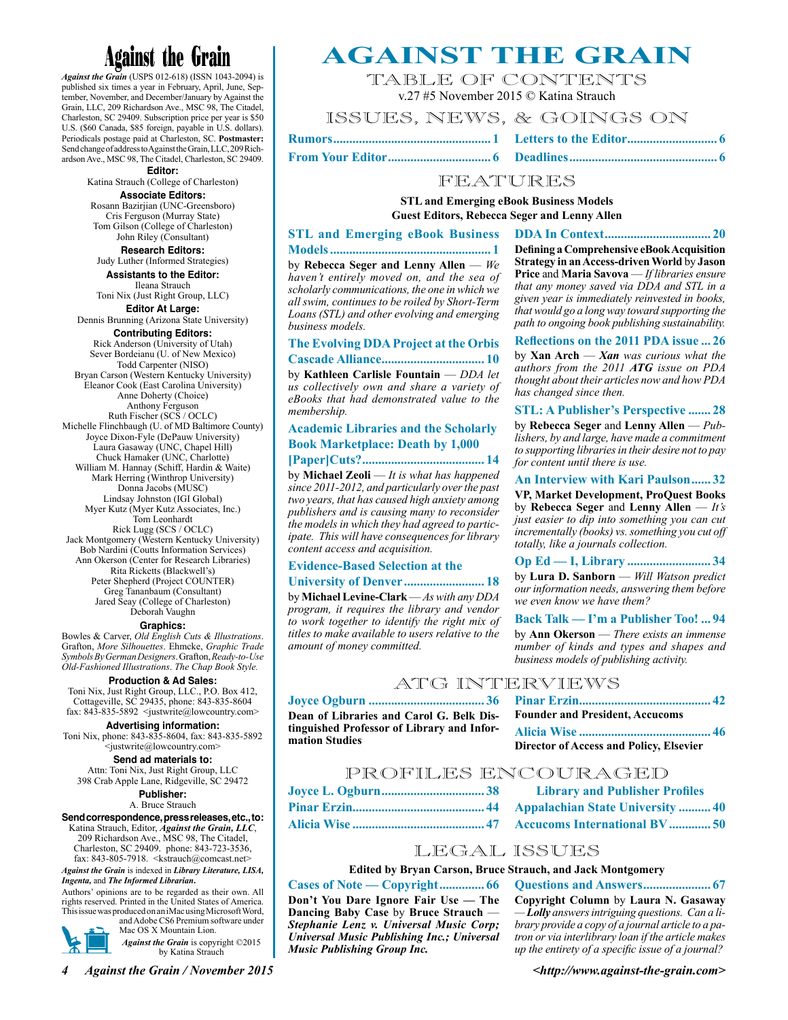# **Against the Grain**

*Against the Grain* (USPS 012-618) (ISSN 1043-2094) is published six times a year in February, April, June, September, November, and December/January by Against the Grain, LLC, 209 Richardson Ave., MSC 98, The Citadel, Charleston, SC 29409. Subscription price per year is \$50 U.S. (\$60 Canada, \$85 foreign, payable in U.S. dollars). Periodicals postage paid at Charleston, SC. **Postmaster:** Send change of address to Against the Grain, LLC, 209 Richardson Ave., MSC 98, The Citadel, Charleston, SC 29409.

**Editor:**

Katina Strauch (College of Charleston) **Associate Editors:**

Rosann Bazirjian (UNC-Greensboro) Cris Ferguson (Murray State) Tom Gilson (College of Charleston) John Riley (Consultant)

**Research Editors:** Judy Luther (Informed Strategies) **Assistants to the Editor:**

Ileana Strauch Toni Nix (Just Right Group, LLC)

**Editor At Large:** Dennis Brunning (Arizona State University)

#### **Contributing Editors:** Rick Anderson (University of Utah)

Sever Bordeianu (U. of New Mexico) Todd Carpenter (NISO) Bryan Carson (Western Kentucky University) Eleanor Cook (East Carolina University) Anne Doherty (Choice) Anthony Ferguson Ruth Fischer (SCS / OCLC) Michelle Flinchbaugh (U. of MD Baltimore County) Joyce Dixon-Fyle (DePauw University) Laura Gasaway (UNC, Chapel Hill) Chuck Hamaker (UNC, Charlotte) William M. Hannay (Schiff, Hardin & Waite) Mark Herring (Winthrop University) Donna Jacobs (MUSC) Lindsay Johnston (IGI Global) Myer Kutz (Myer Kutz Associates, Inc.) Tom Leonhardt Rick Lugg (SCS / OCLC) Jack Montgomery (Western Kentucky University) Bob Nardini (Coutts Information Services) Ann Okerson (Center for Research Libraries) Rita Ricketts (Blackwell's)

Peter Shepherd (Project COUNTER) Greg Tananbaum (Consultant) Jared Seay (College of Charleston) Deborah Vaughn

#### **Graphics:**

Bowles & Carver, *Old English Cuts & Illustrations*. Grafton, *More Silhouettes*. Ehmcke, *Graphic Trade Symbols By German Designers*. Grafton, *Ready-to-Use Old-Fashioned Illustrations*. *The Chap Book Style.*

#### **Production & Ad Sales:**

Toni Nix, Just Right Group, LLC., P.O. Box 412, Cottageville, SC 29435, phone: 843-835-8604 fax:  $843-835-5892$  < justwrite@lowcountry.com>

## **Advertising information:**

Toni Nix, phone: 843-835-8604, fax: 843-835-5892 <justwrite@lowcountry.com>

**Send ad materials to:** Attn: Toni Nix, Just Right Group, LLC 398 Crab Apple Lane, Ridgeville, SC 29472

## **Publisher:**

A. Bruce Strauch

#### **Send correspondence, press releases, etc., to:** Katina Strauch, Editor, *Against the Grain, LLC*,

209 Richardson Ave., MSC 98, The Citadel, Charleston, SC 29409. phone: 843-723-3536, fax: 843-805-7918. < kstrauch@comcast.net>

*Against the Grain* is indexed in *Library Literature, LISA, Ingenta,* and *The Informed Librarian***.**

Authors' opinions are to be regarded as their own. All rights reserved. Printed in the United States of America. This issue was produced on an iMac using Microsoft Word, and Adobe CS6 Premium software under



Mac OS X Mountain Lion. *Against the Grain* is copyright ©2015 by Katina Strauch

# **Against The Grain**

TABLE OF CONTENTS v.27 #5 November 2015 © Katina Strauch

ISSUES, NEWS, & GOINGS ON

**Rumors................................................. 1 Letters to the Editor............................ 6 From Your Editor................................ 6 Deadlines.............................................. 6**

## FEATURES

**STL and Emerging eBook Business Models Guest Editors, Rebecca Seger and Lenny Allen**

## **STL and Emerging eBook Business**

**Models.................................................. 1** by **Rebecca Seger and Lenny Allen** — *We haven't entirely moved on, and the sea of scholarly communications, the one in which we all swim, continues to be roiled by Short-Term Loans (STL) and other evolving and emerging business models.* 

## **The Evolving DDA Project at the Orbis Cascade Alliance................................ 10**

by **Kathleen Carlisle Fountain** — *DDA let us collectively own and share a variety of eBooks that had demonstrated value to the membership.* 

## **Academic Libraries and the Scholarly Book Marketplace: Death by 1,000**

**[Paper]Cuts?...................................... 14** by **Michael Zeoli** — *It is what has happened since 2011-2012, and particularly over the past two years, that has caused high anxiety among publishers and is causing many to reconsider the models in which they had agreed to participate. This will have consequences for library content access and acquisition.* 

## **Evidence-Based Selection at the**

### **University of Denver ......................... 18**

by **Michael Levine-Clark** — *As with any DDA program, it requires the library and vendor to work together to identify the right mix of titles to make available to users relative to the amount of money committed.* 

#### **DDA In Context................................. 20 Defining a Comprehensive eBook Acquisition Strategy in an Access-driven World** by **Jason Price** and **Maria Savova** — *If libraries ensure that any money saved via DDA and STL in a given year is immediately reinvested in books, that would go a long way toward supporting the*

*path to ongoing book publishing sustainability.* **Reflections on the 2011 PDA issue ... 26**

by **Xan Arch** — *Xan was curious what the authors from the 2011 ATG issue on PDA thought about their articles now and how PDA has changed since then.* 

## **STL: A Publisher's Perspective ....... 28**

by **Rebecca Seger** and **Lenny Allen** — *Publishers, by and large, have made a commitment to supporting libraries in their desire not to pay for content until there is use.*

## **An Interview with Kari Paulson...... 32**

**VP, Market Development, ProQuest Books**  by **Rebecca Seger** and **Lenny Allen** — *It's just easier to dip into something you can cut incrementally (books) vs. something you cut off totally, like a journals collection.*

## **Op Ed — I, Library .......................... 34**

by **Lura D. Sanborn** — *Will Watson predict our information needs, answering them before we even know we have them?*

## **Back Talk — I'm a Publisher Too! ... 94**

by **Ann Okerson** — *There exists an immense number of kinds and types and shapes and business models of publishing activity.*

## ATG INTERVIEWS

#### **Joyce Ogburn .................................... 36 Dean of Libraries and Carol G. Belk Distinguished Professor of Library and Infor-Pinar Erzin......................................... 42 Founder and President, Accucoms Alicia Wise ......................................... 46 Director of Access and Policy, Elsevier**

## PROFILES ENCOURAGED

## **Library and Publisher Profiles Appalachian State University .......... 40 Accucoms International BV............. 50**

## LEGAL ISSUES

**Don't You Dare Ignore Fair Use — The Dancing Baby Case** by **Bruce Strauch** — *Stephanie Lenz v. Universal Music Corp; Universal Music Publishing Inc.; Universal Music Publishing Group Inc.*

**Questions and Answers..................... 67 Copyright Column** by **Laura N. Gasaway** *— Lolly answers intriguing questions. Can a library provide a copy of a journal article to a patron or via interlibrary loan if the article makes up the entirety of a specific issue of a journal?*

*4 Against the Grain / November 2015 <i>Against-the-grain.com>*  $\leq$ http://www.against-the-grain.com>

**Edited by Bryan Carson, Bruce Strauch, and Jack Montgomery Cases of Note — Copyright.............. 66**

**mation Studies**